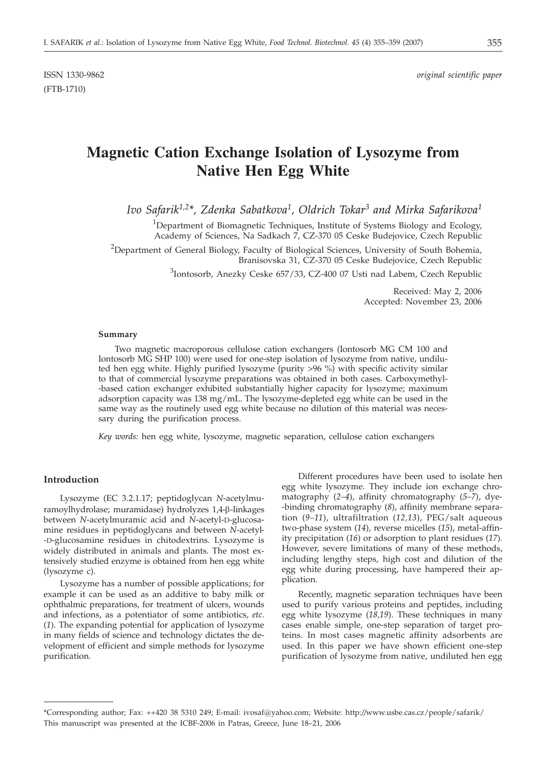(FTB-1710)

# **Magnetic Cation Exchange Isolation of Lysozyme from Native Hen Egg White**

*Ivo Safarik1,2\*, Zdenka Sabatkova1, Oldrich Tokar3 and Mirka Safarikova1*

<sup>1</sup>Department of Biomagnetic Techniques, Institute of Systems Biology and Ecology, Academy of Sciences, Na Sadkach 7, CZ-370 05 Ceske Budejovice, Czech Republic

<sup>2</sup>Department of General Biology, Faculty of Biological Sciences, University of South Bohemia, Branisovska 31, CZ-370 05 Ceske Budejovice, Czech Republic

<sup>3</sup>Iontosorb, Anezky Ceske 657/33, CZ-400 07 Usti nad Labem, Czech Republic

Received: May 2, 2006 Accepted: November 23, 2006

#### **Summary**

Two magnetic macroporous cellulose cation exchangers (Iontosorb MG CM 100 and Iontosorb MG SHP 100) were used for one-step isolation of lysozyme from native, undiluted hen egg white. Highly purified lysozyme (purity >96 %) with specific activity similar to that of commercial lysozyme preparations was obtained in both cases. Carboxymethyl- -based cation exchanger exhibited substantially higher capacity for lysozyme; maximum adsorption capacity was 138 mg/mL. The lysozyme-depleted egg white can be used in the same way as the routinely used egg white because no dilution of this material was necessary during the purification process.

*Key words:* hen egg white, lysozyme, magnetic separation, cellulose cation exchangers

### **Introduction**

Lysozyme (EC 3.2.1.17; peptidoglycan *N*-acetylmuramoylhydrolase; muramidase) hydrolyzes 1,4-b-linkages between *N*-acetylmuramic acid and *N*-acetyl-D-glucosamine residues in peptidoglycans and between *N*-acetyl- -D-glucosamine residues in chitodextrins. Lysozyme is widely distributed in animals and plants. The most extensively studied enzyme is obtained from hen egg white (lysozyme c).

Lysozyme has a number of possible applications; for example it can be used as an additive to baby milk or ophthalmic preparations, for treatment of ulcers, wounds and infections, as a potentiator of some antibiotics, *etc*. (*1*). The expanding potential for application of lysozyme in many fields of science and technology dictates the development of efficient and simple methods for lysozyme purification.

Different procedures have been used to isolate hen egg white lysozyme. They include ion exchange chromatography (*2–4*), affinity chromatography (*5–7*), dye- -binding chromatography (*8*), affinity membrane separation (*9–11*), ultrafiltration (*12,13*), PEG/salt aqueous two-phase system (*14*), reverse micelles (*15*), metal-affinity precipitation (*16*) or adsorption to plant residues (*17*). However, severe limitations of many of these methods, including lengthy steps, high cost and dilution of the egg white during processing, have hampered their application.

Recently, magnetic separation techniques have been used to purify various proteins and peptides, including egg white lysozyme (*18,19*). These techniques in many cases enable simple, one-step separation of target proteins. In most cases magnetic affinity adsorbents are used. In this paper we have shown efficient one-step purification of lysozyme from native, undiluted hen egg

<sup>\*</sup>Corresponding author; Fax: ++420 38 5310 249; E-mail: ivosaf@yahoo.com; Website: http:*//*www.usbe.cas.cz/people/safarik/ This manuscript was presented at the ICBF-2006 in Patras, Greece, June 18–21, 2006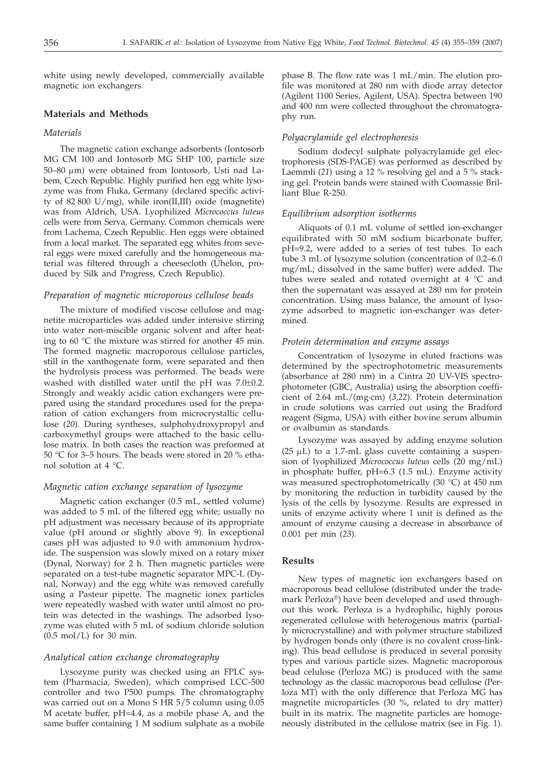white using newly developed, commercially available magnetic ion exchangers.

## **Materials and Methods**

## *Materials*

The magnetic cation exchange adsorbents (Iontosorb MG CM 100 and Iontosorb MG SHP 100, particle size 50–80 mm) were obtained from Iontosorb, Usti nad Labem, Czech Republic. Highly purified hen egg white lysozyme was from Fluka, Germany (declared specific activity of 82 800 U/mg), while iron(II,III) oxide (magnetite) was from Aldrich, USA. Lyophilized *Micrococcus luteus* cells were from Serva, Germany. Common chemicals were from Lachema, Czech Republic. Hen eggs were obtained from a local market. The separated egg whites from several eggs were mixed carefully and the homogeneous material was filtered through a cheesecloth (Uhelon, produced by Silk and Progress, Czech Republic).

#### *Preparation of magnetic microporous cellulose beads*

The mixture of modified viscose cellulose and magnetite microparticles was added under intensive stirring into water non-miscible organic solvent and after heating to 60 °C the mixture was stirred for another 45 min. The formed magnetic macroporous cellulose particles, still in the xanthogenate form, were separated and then the hydrolysis process was performed. The beads were washed with distilled water until the pH was 7.0±0.2. Strongly and weakly acidic cation exchangers were prepared using the standard procedures used for the preparation of cation exchangers from microcrystallic cellulose (*20*). During syntheses, sulphohydroxypropyl and carboxymethyl groups were attached to the basic cellulose matrix. In both cases the reaction was preformed at 50 °C for 3–5 hours. The beads were stored in 20 % ethanol solution at 4 °C.

# *Magnetic cation exchange separation of lysozyme*

Magnetic cation exchanger (0.5 mL, settled volume) was added to 5 mL of the filtered egg white; usually no pH adjustment was necessary because of its appropriate value (pH around or slightly above 9). In exceptional cases pH was adjusted to 9.0 with ammonium hydroxide. The suspension was slowly mixed on a rotary mixer (Dynal, Norway) for 2 h. Then magnetic particles were separated on a test-tube magnetic separator MPC-L (Dynal, Norway) and the egg white was removed carefully using a Pasteur pipette. The magnetic ionex particles were repeatedly washed with water until almost no protein was detected in the washings. The adsorbed lysozyme was eluted with 5 mL of sodium chloride solution (0.5 mol/L) for 30 min.

#### *Analytical cation exchange chromatography*

Lysozyme purity was checked using an FPLC system (Pharmacia, Sweden), which comprised LCC-500 controller and two P500 pumps. The chromatography was carried out on a Mono S HR 5/5 column using 0.05 M acetate buffer, pH=4.4, as a mobile phase A, and the same buffer containing 1 M sodium sulphate as a mobile

phase B. The flow rate was 1 mL/min. The elution profile was monitored at 280 nm with diode array detector (Agilent 1100 Series, Agilent, USA). Spectra between 190 and 400 nm were collected throughout the chromatography run.

#### *Polyacrylamide gel electrophoresis*

Sodium dodecyl sulphate polyacrylamide gel electrophoresis (SDS-PAGE) was performed as described by Laemmli (21) using a 12 % resolving gel and a 5 % stacking gel. Protein bands were stained with Coomassie Brilliant Blue R-250.

#### *Equilibrium adsorption isotherms*

Aliquots of 0.1 mL volume of settled ion-exchanger equilibrated with 50 mM sodium bicarbonate buffer, pH=9.2, were added to a series of test tubes. To each tube 3 mL of lysozyme solution (concentration of 0.2–6.0 mg/mL; dissolved in the same buffer) were added. The tubes were sealed and rotated overnight at 4 °C and then the supernatant was assayed at 280 nm for protein concentration. Using mass balance, the amount of lysozyme adsorbed to magnetic ion-exchanger was determined.

#### *Protein determination and enzyme assays*

Concentration of lysozyme in eluted fractions was determined by the spectrophotometric measurements (absorbance at 280 nm) in a Cintra 20 UV-VIS spectrophotometer (GBC, Australia) using the absorption coefficient of 2.64 mL/(mg·cm) (*3,22*). Protein determination in crude solutions was carried out using the Bradford reagent (Sigma, USA) with either bovine serum albumin or ovalbumin as standards.

Lysozyme was assayed by adding enzyme solution (25  $\mu$ L) to a 1.7-mL glass cuvette containing a suspension of lyophilized *Micrococcus luteus* cells (20 mg/mL) in phosphate buffer, pH=6.3 (1.5 mL). Enzyme activity was measured spectrophotometrically (30 °C) at 450 nm by monitoring the reduction in turbidity caused by the lysis of the cells by lysozyme. Results are expressed in units of enzyme activity where 1 unit is defined as the amount of enzyme causing a decrease in absorbance of 0.001 per min (*23*).

#### **Results**

New types of magnetic ion exchangers based on macroporous bead cellulose (distributed under the trademark Perloza®) have been developed and used throughout this work. Perloza is a hydrophilic, highly porous regenerated cellulose with heterogenous matrix (partially microcrystalline) and with polymer structure stabilized by hydrogen bonds only (there is no covalent cross-linking). This bead cellulose is produced in several porosity types and various particle sizes. Magnetic macroporous bead celulose (Perloza MG) is produced with the same technology as the classic macroporous bead cellulose (Perloza MT) with the only difference that Perloza MG has magnetite microparticles (30 %, related to dry matter) built in its matrix. The magnetite particles are homogeneously distributed in the cellulose matrix (see in Fig. 1).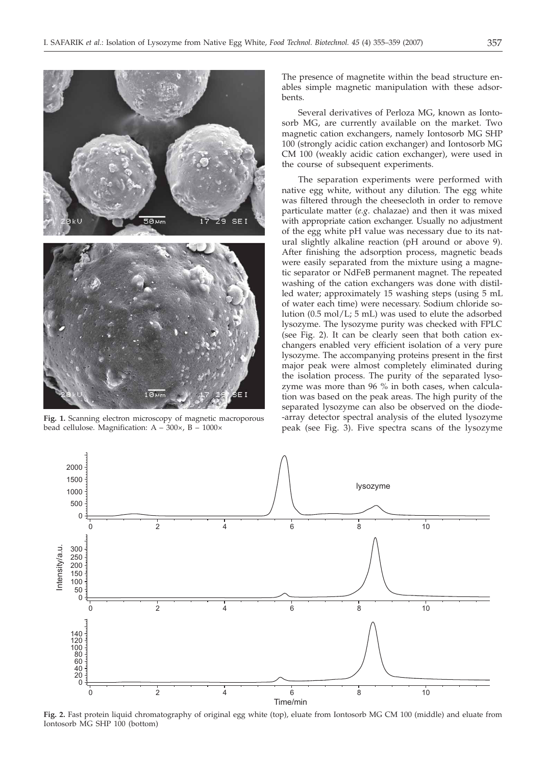

**Fig. 1.** Scanning electron microscopy of magnetic macroporous bead cellulose. Magnification: A – 300×, B – 1000×

The presence of magnetite within the bead structure enables simple magnetic manipulation with these adsorbents.

Several derivatives of Perloza MG, known as Iontosorb MG, are currently available on the market. Two magnetic cation exchangers, namely Iontosorb MG SHP 100 (strongly acidic cation exchanger) and Iontosorb MG CM 100 (weakly acidic cation exchanger), were used in the course of subsequent experiments.

The separation experiments were performed with native egg white, without any dilution. The egg white was filtered through the cheesecloth in order to remove particulate matter (*e.g*. chalazae) and then it was mixed with appropriate cation exchanger. Usually no adjustment of the egg white pH value was necessary due to its natural slightly alkaline reaction (pH around or above 9). After finishing the adsorption process, magnetic beads were easily separated from the mixture using a magnetic separator or NdFeB permanent magnet. The repeated washing of the cation exchangers was done with distilled water; approximately 15 washing steps (using 5 mL of water each time) were necessary. Sodium chloride solution (0.5 mol/L; 5 mL) was used to elute the adsorbed lysozyme. The lysozyme purity was checked with FPLC (see Fig. 2). It can be clearly seen that both cation exchangers enabled very efficient isolation of a very pure lysozyme. The accompanying proteins present in the first major peak were almost completely eliminated during the isolation process. The purity of the separated lysozyme was more than 96 % in both cases, when calculation was based on the peak areas. The high purity of the separated lysozyme can also be observed on the diode- -array detector spectral analysis of the eluted lysozyme peak (see Fig. 3). Five spectra scans of the lysozyme



**Fig. 2.** Fast protein liquid chromatography of original egg white (top), eluate from Iontosorb MG CM 100 (middle) and eluate from Iontosorb MG SHP 100 (bottom)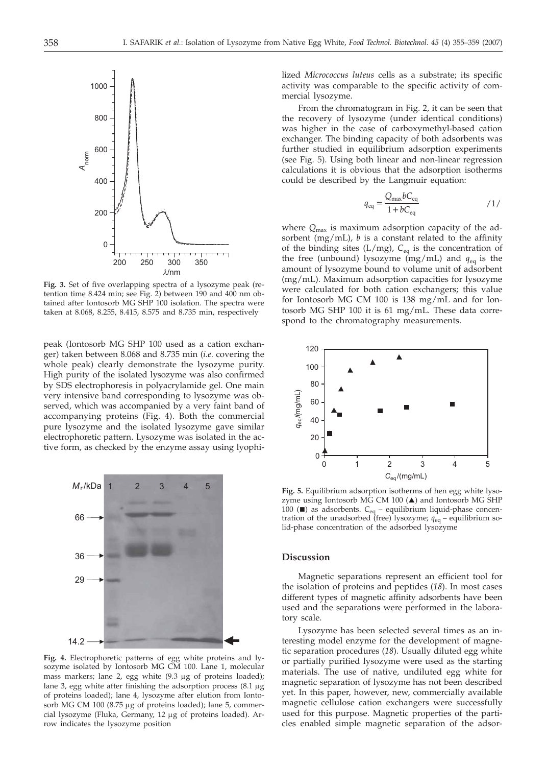

**Fig. 3.** Set of five overlapping spectra of a lysozyme peak (retention time 8.424 min; see Fig. 2) between 190 and 400 nm obtained after Iontosorb MG SHP 100 isolation. The spectra were taken at 8.068, 8.255, 8.415, 8.575 and 8.735 min, respectively

peak (Iontosorb MG SHP 100 used as a cation exchanger) taken between 8.068 and 8.735 min (*i.e*. covering the whole peak) clearly demonstrate the lysozyme purity. High purity of the isolated lysozyme was also confirmed by SDS electrophoresis in polyacrylamide gel. One main very intensive band corresponding to lysozyme was observed, which was accompanied by a very faint band of accompanying proteins (Fig. 4). Both the commercial pure lysozyme and the isolated lysozyme gave similar electrophoretic pattern. Lysozyme was isolated in the active form, as checked by the enzyme assay using lyophi-



**Fig. 4.** Electrophoretic patterns of egg white proteins and lysozyme isolated by Iontosorb MG CM 100. Lane 1, molecular mass markers; lane 2, egg white  $(9.3 \mu g)$  of proteins loaded); lane 3, egg white after finishing the adsorption process  $(8.1 \mu g)$ of proteins loaded); lane 4, lysozyme after elution from Iontosorb MG CM 100 (8.75 µg of proteins loaded); lane 5, commercial lysozyme (Fluka, Germany, 12 µg of proteins loaded). Arrow indicates the lysozyme position

lized *Micrococcus luteus* cells as a substrate; its specific activity was comparable to the specific activity of commercial lysozyme.

From the chromatogram in Fig. 2, it can be seen that the recovery of lysozyme (under identical conditions) was higher in the case of carboxymethyl-based cation exchanger. The binding capacity of both adsorbents was further studied in equilibrium adsorption experiments (see Fig. 5). Using both linear and non-linear regression calculations it is obvious that the adsorption isotherms could be described by the Langmuir equation:

$$
q_{\text{eq}} = \frac{Q_{\text{max}}bC_{\text{eq}}}{1 + bC_{\text{eq}}}
$$

where *Q*max is maximum adsorption capacity of the adsorbent (mg/mL),  $b$  is a constant related to the affinity of the binding sites (L/mg), *C*eq is the concentration of the free (unbound) lysozyme (mg/mL) and  $q_{eq}$  is the amount of lysozyme bound to volume unit of adsorbent (mg/mL). Maximum adsorption capacities for lysozyme were calculated for both cation exchangers; this value for Iontosorb MG CM 100 is 138 mg/mL and for Iontosorb MG SHP 100 it is 61 mg/mL. These data correspond to the chromatography measurements.



**Fig. 5.** Equilibrium adsorption isotherms of hen egg white lysozyme using Iontosorb MG CM 100  $(\triangle)$  and Iontosorb MG SHP 100 ( $\blacksquare$ ) as adsorbents.  $C_{eq}$  – equilibrium liquid-phase concentration of the unadsorbed (free) lysozyme; *q*eq – equilibrium solid-phase concentration of the adsorbed lysozyme

# **Discussion**

Magnetic separations represent an efficient tool for the isolation of proteins and peptides (*18*). In most cases different types of magnetic affinity adsorbents have been used and the separations were performed in the laboratory scale.

Lysozyme has been selected several times as an interesting model enzyme for the development of magnetic separation procedures (*18*). Usually diluted egg white or partially purified lysozyme were used as the starting materials. The use of native, undiluted egg white for magnetic separation of lysozyme has not been described yet. In this paper, however, new, commercially available magnetic cellulose cation exchangers were successfully used for this purpose. Magnetic properties of the particles enabled simple magnetic separation of the adsor